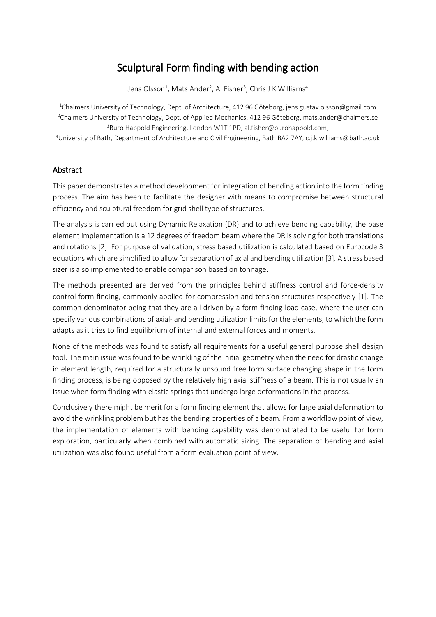# Sculptural Form finding with bending action

Jens Olsson<sup>1</sup>, Mats Ander<sup>2</sup>, Al Fisher<sup>3</sup>, Chris J K Williams<sup>4</sup>

<sup>1</sup>Chalmers University of Technology, Dept. of Architecture, 412 96 Göteborg, jens.gustav.olsson@gmail.com 2 Chalmers University of Technology, Dept. of Applied Mechanics, 412 96 Göteborg, mats.ander@chalmers.se 3 Buro Happold Engineering, London W1T 1PD, al.fisher@burohappold.com,

4 University of Bath, Department of Architecture and Civil Engineering, Bath BA2 7AY, c.j.k.williams@bath.ac.uk

#### Abstract

This paper demonstrates a method development for integration of bending action into the form finding process. The aim has been to facilitate the designer with means to compromise between structural efficiency and sculptural freedom for grid shell type of structures.

The analysis is carried out using Dynamic Relaxation (DR) and to achieve bending capability, the base element implementation is a 12 degrees of freedom beam where the DR is solving for both translations and rotations [2]. For purpose of validation, stress based utilization is calculated based on Eurocode 3 equations which are simplified to allow for separation of axial and bending utilization [3]. A stress based sizer is also implemented to enable comparison based on tonnage.

The methods presented are derived from the principles behind stiffness control and force-density control form finding, commonly applied for compression and tension structures respectively [1]. The common denominator being that they are all driven by a form finding load case, where the user can specify various combinations of axial- and bending utilization limits for the elements, to which the form adapts as it tries to find equilibrium of internal and external forces and moments.

None of the methods was found to satisfy all requirements for a useful general purpose shell design tool. The main issue was found to be wrinkling of the initial geometry when the need for drastic change in element length, required for a structurally unsound free form surface changing shape in the form finding process, is being opposed by the relatively high axial stiffness of a beam. This is not usually an issue when form finding with elastic springs that undergo large deformations in the process.

Conclusively there might be merit for a form finding element that allows for large axial deformation to avoid the wrinkling problem but has the bending properties of a beam. From a workflow point of view, the implementation of elements with bending capability was demonstrated to be useful for form exploration, particularly when combined with automatic sizing. The separation of bending and axial utilization was also found useful from a form evaluation point of view.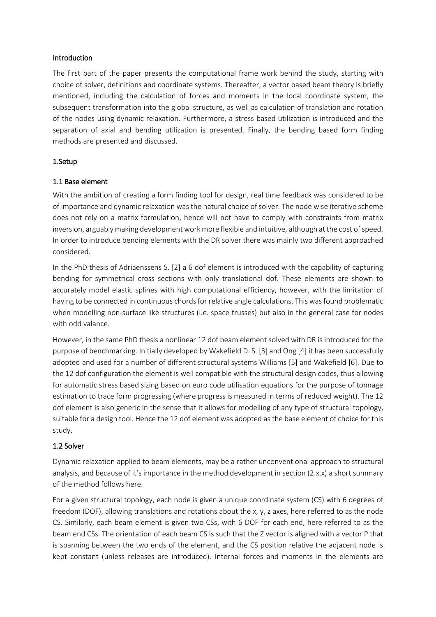#### Introduction

The first part of the paper presents the computational frame work behind the study, starting with choice of solver, definitions and coordinate systems. Thereafter, a vector based beam theory is briefly mentioned, including the calculation of forces and moments in the local coordinate system, the subsequent transformation into the global structure, as well as calculation of translation and rotation of the nodes using dynamic relaxation. Furthermore, a stress based utilization is introduced and the separation of axial and bending utilization is presented. Finally, the bending based form finding methods are presented and discussed.

## 1.Setup

## 1.1 Base element

With the ambition of creating a form finding tool for design, real time feedback was considered to be of importance and dynamic relaxation was the natural choice of solver. The node wise iterative scheme does not rely on a matrix formulation, hence will not have to comply with constraints from matrix inversion, arguably making development work more flexible and intuitive, although at the cost of speed. In order to introduce bending elements with the DR solver there was mainly two different approached considered.

In the PhD thesis of Adriaenssens S. [2] a 6 dof element is introduced with the capability of capturing bending for symmetrical cross sections with only translational dof. These elements are shown to accurately model elastic splines with high computational efficiency, however, with the limitation of having to be connected in continuous chords for relative angle calculations. This was found problematic when modelling non-surface like structures (i.e. space trusses) but also in the general case for nodes with odd valance.

However, in the same PhD thesis a nonlinear 12 dof beam element solved with DR is introduced for the purpose of benchmarking. Initially developed by Wakefield D. S. [3] and Ong [4] it has been successfully adopted and used for a number of different structural systems Williams [5] and Wakefield [6]. Due to the 12 dof configuration the element is well compatible with the structural design codes, thus allowing for automatic stress based sizing based on euro code utilisation equations for the purpose of tonnage estimation to trace form progressing (where progress is measured in terms of reduced weight). The 12 dof element is also generic in the sense that it allows for modelling of any type of structural topology, suitable for a design tool. Hence the 12 dof element was adopted as the base element of choice for this study.

# 1.2 Solver

Dynamic relaxation applied to beam elements, may be a rather unconventional approach to structural analysis, and because of it's importance in the method development in section (2.x.x) a short summary of the method follows here.

For a given structural topology, each node is given a unique coordinate system (CS) with 6 degrees of freedom (DOF), allowing translations and rotations about the x, y, z axes, here referred to as the node CS. Similarly, each beam element is given two CSs, with 6 DOF for each end, here referred to as the beam end CSs. The orientation of each beam CS is such that the Z vector is aligned with a vector P that is spanning between the two ends of the element, and the CS position relative the adjacent node is kept constant (unless releases are introduced). Internal forces and moments in the elements are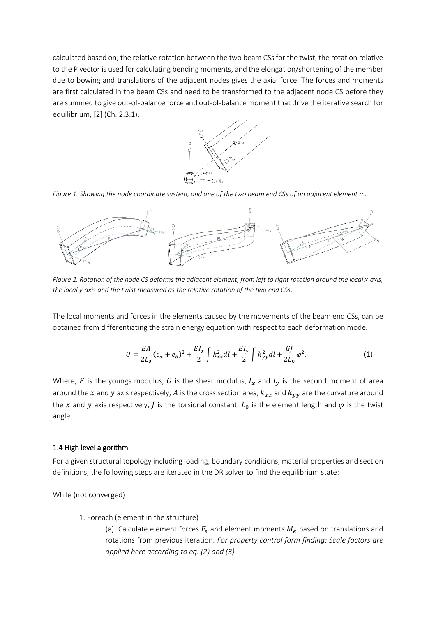calculated based on; the relative rotation between the two beam CSs for the twist, the rotation relative to the P vector is used for calculating bending moments, and the elongation/shortening of the member due to bowing and translations of the adjacent nodes gives the axial force. The forces and moments are first calculated in the beam CSs and need to be transformed to the adjacent node CS before they are summed to give out-of-balance force and out-of-balance moment that drive the iterative search for equilibrium, [2] (Ch. 2.3.1).



*Figure 1. Showing the node coordinate system, and one of the two beam end CSs of an adjacent element m.*



*Figure 2. Rotation of the node CS deforms the adjacent element, from left to right rotation around the local x-axis, the local y-axis and the twist measured as the relative rotation of the two end CSs.*

The local moments and forces in the elements caused by the movements of the beam end CSs, can be obtained from differentiating the strain energy equation with respect to each deformation mode.

$$
U = \frac{EA}{2L_0}(e_a + e_b)^2 + \frac{EI_x}{2} \int k_{xx}^2 dl + \frac{EI_y}{2} \int k_{yy}^2 dl + \frac{GI}{2L_0} \varphi^2.
$$
 (1)

Where, E is the youngs modulus, G is the shear modulus,  $I_x$  and  $I_y$  is the second moment of area around the x and y axis respectively, A is the cross section area,  $k_{xx}$  and  $k_{yy}$  are the curvature around the x and y axis respectively, *J* is the torsional constant,  $L_0$  is the element length and  $\varphi$  is the twist angle.

#### 1.4 High level algorithm

For a given structural topology including loading, boundary conditions, material properties and section definitions, the following steps are iterated in the DR solver to find the equilibrium state:

While (not converged)

1. Foreach (element in the structure)

(a). Calculate element forces  $F_e$  and element moments  $M_e$  based on translations and rotations from previous iteration. *For property control form finding: Scale factors are applied here according to eq. (2) and (3).*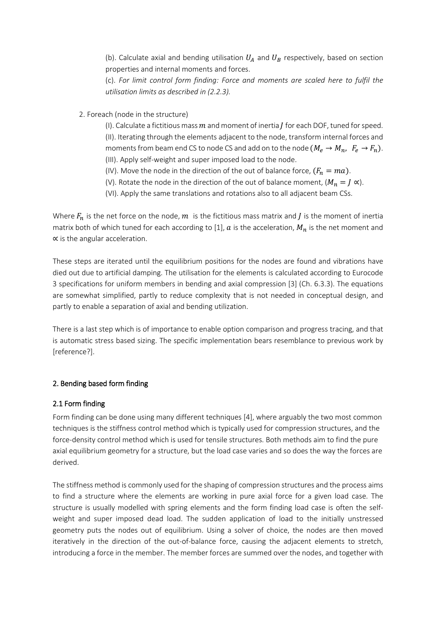(b). Calculate axial and bending utilisation  $U_A$  and  $U_B$  respectively, based on section properties and internal moments and forces.

(c). *For limit control form finding: Force and moments are scaled here to fulfil the utilisation limits as described in (2.2.3).*

- 2. Foreach (node in the structure)
	- (I). Calculate a fictitious mass  $m$  and moment of inertia  $I$  for each DOF, tuned for speed. (II). Iterating through the elements adjacent to the node, transform internal forces and moments from beam end CS to node CS and add on to the node  $(M_e \rightarrow M_n, F_e \rightarrow F_n)$ .
	- (III). Apply self-weight and super imposed load to the node.
	- (IV). Move the node in the direction of the out of balance force,  $(F_n = ma)$ . (V). Rotate the node in the direction of the out of balance moment,  $(M_n = J \propto)$ .
	- (VI). Apply the same translations and rotations also to all adjacent beam CSs.

Where  $F_n$  is the net force on the node,  $m$  is the fictitious mass matrix and *J* is the moment of inertia matrix both of which tuned for each according to [1],  $a$  is the acceleration,  $M_n$  is the net moment and ∝ is the angular acceleration.

These steps are iterated until the equilibrium positions for the nodes are found and vibrations have died out due to artificial damping. The utilisation for the elements is calculated according to Eurocode 3 specifications for uniform members in bending and axial compression [3] (Ch. 6.3.3). The equations are somewhat simplified, partly to reduce complexity that is not needed in conceptual design, and partly to enable a separation of axial and bending utilization.

There is a last step which is of importance to enable option comparison and progress tracing, and that is automatic stress based sizing. The specific implementation bears resemblance to previous work by [reference?].

## 2. Bending based form finding

#### 2.1 Form finding

Form finding can be done using many different techniques [4], where arguably the two most common techniques is the stiffness control method which is typically used for compression structures, and the force-density control method which is used for tensile structures. Both methods aim to find the pure axial equilibrium geometry for a structure, but the load case varies and so does the way the forces are derived.

The stiffness method is commonly used for the shaping of compression structures and the process aims to find a structure where the elements are working in pure axial force for a given load case. The structure is usually modelled with spring elements and the form finding load case is often the selfweight and super imposed dead load. The sudden application of load to the initially unstressed geometry puts the nodes out of equilibrium. Using a solver of choice, the nodes are then moved iteratively in the direction of the out-of-balance force, causing the adjacent elements to stretch, introducing a force in the member. The member forces are summed over the nodes, and together with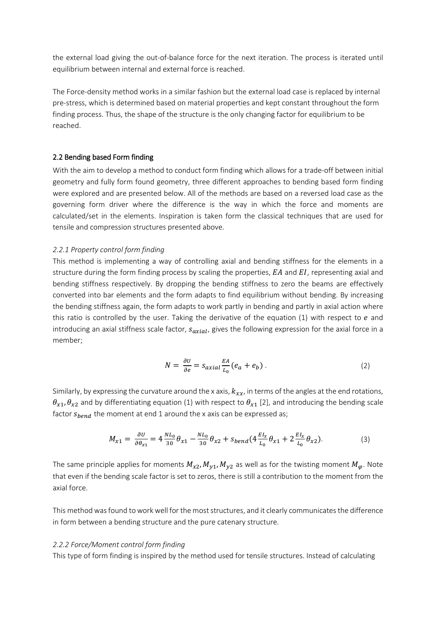the external load giving the out-of-balance force for the next iteration. The process is iterated until equilibrium between internal and external force is reached.

The Force-density method works in a similar fashion but the external load case is replaced by internal pre-stress, which is determined based on material properties and kept constant throughout the form finding process. Thus, the shape of the structure is the only changing factor for equilibrium to be reached.

#### 2.2 Bending based Form finding

With the aim to develop a method to conduct form finding which allows for a trade-off between initial geometry and fully form found geometry, three different approaches to bending based form finding were explored and are presented below. All of the methods are based on a reversed load case as the governing form driver where the difference is the way in which the force and moments are calculated/set in the elements. Inspiration is taken form the classical techniques that are used for tensile and compression structures presented above.

#### *2.2.1 Property control form finding*

This method is implementing a way of controlling axial and bending stiffness for the elements in a structure during the form finding process by scaling the properties,  $EA$  and  $EI$ , representing axial and bending stiffness respectively. By dropping the bending stiffness to zero the beams are effectively converted into bar elements and the form adapts to find equilibrium without bending. By increasing the bending stiffness again, the form adapts to work partly in bending and partly in axial action where this ratio is controlled by the user. Taking the derivative of the equation  $(1)$  with respect to  $e$  and introducing an axial stiffness scale factor,  $s_{axial}$ , gives the following expression for the axial force in a member;

$$
N = \frac{\partial U}{\partial e} = s_{axial} \frac{EA}{L_0} (e_a + e_b) \,. \tag{2}
$$

Similarly, by expressing the curvature around the x axis,  $k_{xx}$ , in terms of the angles at the end rotations,  $\theta_{x1}, \theta_{x2}$  and by differentiating equation (1) with respect to  $\theta_{x1}$  [2], and introducing the bending scale factor  $s_{bend}$  the moment at end 1 around the x axis can be expressed as;

$$
M_{x1} = \frac{\partial U}{\partial \theta_{x1}} = 4 \frac{NL_0}{30} \theta_{x1} - \frac{NL_0}{30} \theta_{x2} + s_{bend} (4 \frac{EI_x}{L_0} \theta_{x1} + 2 \frac{EI_x}{L_0} \theta_{x2}).
$$
 (3)

The same principle applies for moments  $M_{\chi_2}$ ,  $M_{\nu_1}$ ,  $M_{\nu_2}$  as well as for the twisting moment  $M_{\omega}$ . Note that even if the bending scale factor is set to zeros, there is still a contribution to the moment from the axial force.

This method was found to work well for the most structures, and it clearly communicates the difference in form between a bending structure and the pure catenary structure.

#### *2.2.2 Force/Moment control form finding*

This type of form finding is inspired by the method used for tensile structures. Instead of calculating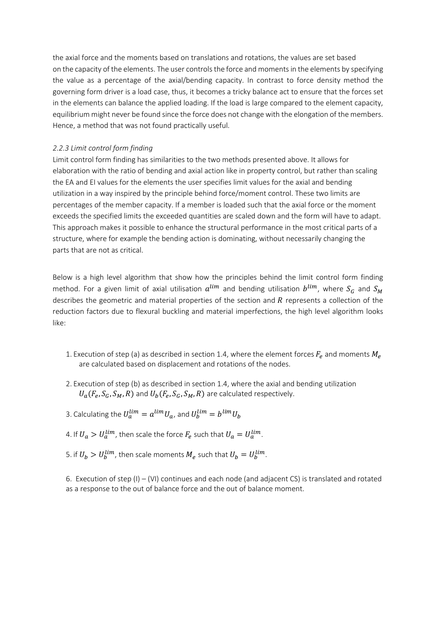the axial force and the moments based on translations and rotations, the values are set based on the capacity of the elements. The user controls the force and moments in the elements by specifying the value as a percentage of the axial/bending capacity. In contrast to force density method the governing form driver is a load case, thus, it becomes a tricky balance act to ensure that the forces set in the elements can balance the applied loading. If the load is large compared to the element capacity, equilibrium might never be found since the force does not change with the elongation of the members. Hence, a method that was not found practically useful.

#### *2.2.3 Limit control form finding*

Limit control form finding has similarities to the two methods presented above. It allows for elaboration with the ratio of bending and axial action like in property control, but rather than scaling the EA and EI values for the elements the user specifies limit values for the axial and bending utilization in a way inspired by the principle behind force/moment control. These two limits are percentages of the member capacity. If a member is loaded such that the axial force or the moment exceeds the specified limits the exceeded quantities are scaled down and the form will have to adapt. This approach makes it possible to enhance the structural performance in the most critical parts of a structure, where for example the bending action is dominating, without necessarily changing the parts that are not as critical.

Below is a high level algorithm that show how the principles behind the limit control form finding method. For a given limit of axial utilisation  $a^{lim}$  and bending utilisation  $b^{lim}$ , where  $S_G$  and  $S_M$ describes the geometric and material properties of the section and  *represents a collection of the* reduction factors due to flexural buckling and material imperfections, the high level algorithm looks like:

- 1. Execution of step (a) as described in section 1.4, where the element forces  $F_e$  and moments  $M_e$ are calculated based on displacement and rotations of the nodes.
- 2. Execution of step (b) as described in section 1.4, where the axial and bending utilization  $U_a(F_e, S_G, S_M, R)$  and  $U_b(F_e, S_G, S_M, R)$  are calculated respectively.
- 3. Calculating the  $U_a^{lim} = a^{lim} U_a$ , and  $U_b^{lim} = b^{lim} U_b$
- 4. If  $U_a > U_a^{lim}$ , then scale the force  $F_e$  such that  $U_a = U_a^{lim}$ .
- 5. if  $U_b > U_b^{lim}$ , then scale moments  $M_e$  such that  $U_b = U_b^{lim}$ .

6. Execution of step (I) – (VI) continues and each node (and adjacent CS) is translated and rotated as a response to the out of balance force and the out of balance moment.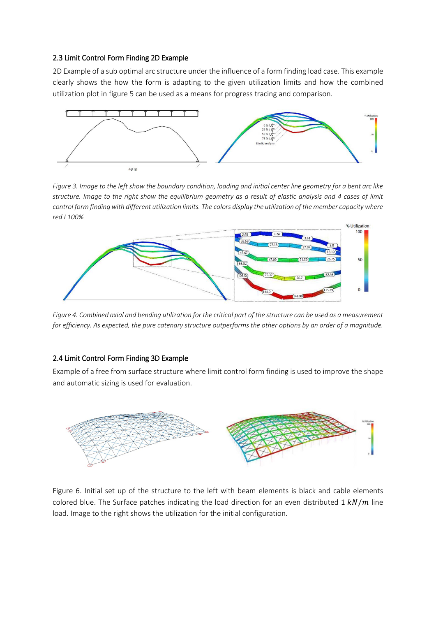#### 2.3 Limit Control Form Finding 2D Example

2D Example of a sub optimal arc structure under the influence of a form finding load case. This example clearly shows the how the form is adapting to the given utilization limits and how the combined utilization plot in figure 5 can be used as a means for progress tracing and comparison.



*Figure 3. Image to the left show the boundary condition, loading and initial center line geometry for a bent arc like structure. Image to the right show the equilibrium geometry as a result of elastic analysis and 4 cases of limit control form finding with different utilization limits. The colors display the utilization of the member capacity where red I 100%*



*Figure 4. Combined axial and bending utilization for the critical part of the structure can be used as a measurement for efficiency. As expected, the pure catenary structure outperforms the other options by an order of a magnitude.*

## 2.4 Limit Control Form Finding 3D Example

Example of a free from surface structure where limit control form finding is used to improve the shape and automatic sizing is used for evaluation.



Figure 6. Initial set up of the structure to the left with beam elements is black and cable elements colored blue. The Surface patches indicating the load direction for an even distributed 1  $kN/m$  line load. Image to the right shows the utilization for the initial configuration.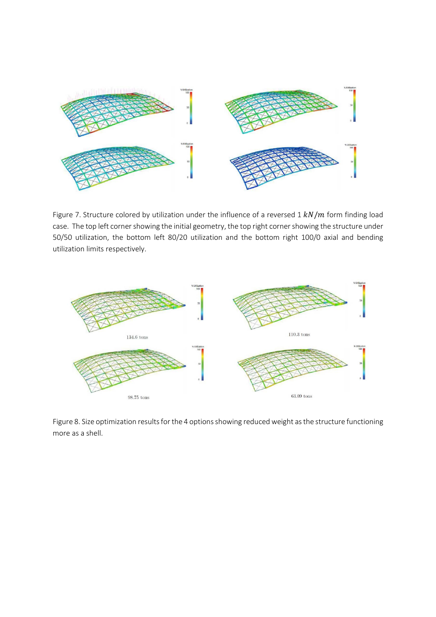

Figure 7. Structure colored by utilization under the influence of a reversed  $1 kN/m$  form finding load case. The top left corner showing the initial geometry, the top right cornershowing the structure under 50/50 utilization, the bottom left 80/20 utilization and the bottom right 100/0 axial and bending utilization limits respectively.



Figure 8. Size optimization results for the 4 options showing reduced weight as the structure functioning more as a shell.